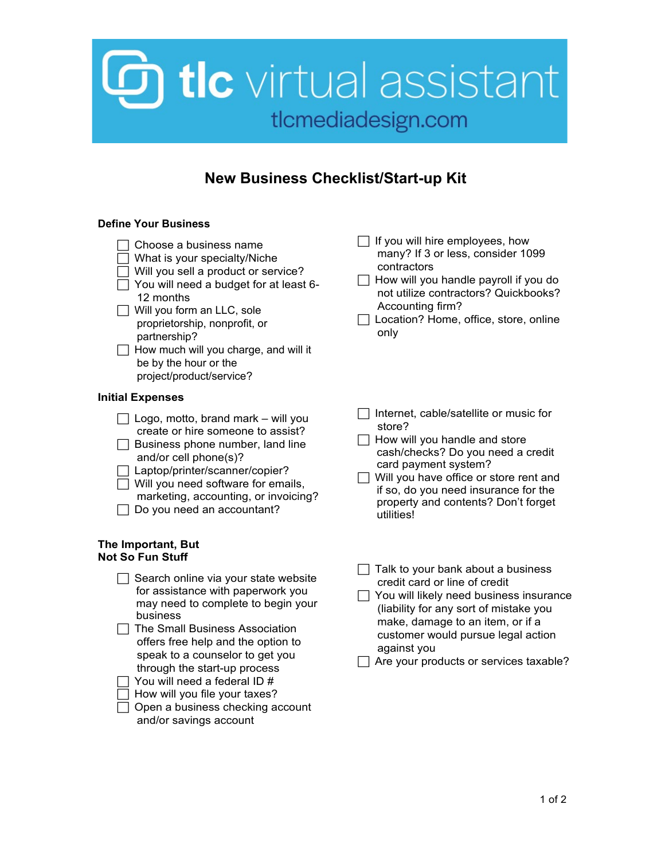## **b** tic virtual assistant tlcmediadesign.com

### **New Business Checklist/Start-up Kit**

#### **Define Your Business**

- $\Box$  Choose a business name
- $\Box$  What is your specialty/Niche
- $\Box$  Will you sell a product or service?
- $\Box$  You will need a budget for at least 6-12 months
- Will you form an LLC, sole proprietorship, nonprofit, or partnership?
- $\Box$  How much will you charge, and will it be by the hour or the project/product/service?

#### **Initial Expenses**

- $\Box$  Logo, motto, brand mark will you create or hire someone to assist?
- $\Box$  Business phone number, land line and/or cell phone(s)?
- □ Laptop/printer/scanner/copier?  $\Box$  Will you need software for emails, marketing, accounting, or invoicing?
- $\Box$  Do you need an accountant?

#### **The Important, But Not So Fun Stuff**

| Search online via your state website<br>for assistance with paperwork you<br>may need to complete to begin your<br>business |
|-----------------------------------------------------------------------------------------------------------------------------|
| The Small Business Association                                                                                              |
| offers free help and the option to                                                                                          |
| speak to a counselor to get you                                                                                             |
| through the start-up process                                                                                                |
| You will need a federal ID #                                                                                                |
| How will you file your taxes?                                                                                               |
| Open a business checking account                                                                                            |
| and/or savings account                                                                                                      |

- $\Box$  If you will hire employees, how many? If 3 or less, consider 1099 contractors
- $\Box$  How will you handle payroll if you do not utilize contractors? Quickbooks? Accounting firm?
- Location? Home, office, store, online only
- $\Box$  Internet, cable/satellite or music for store?
- $\Box$  How will you handle and store cash/checks? Do you need a credit card payment system?
- $\Box$  Will you have office or store rent and if so, do you need insurance for the property and contents? Don't forget utilities!
- $\Box$  Talk to your bank about a business credit card or line of credit
- $\Box$  You will likely need business insurance (liability for any sort of mistake you make, damage to an item, or if a customer would pursue legal action against you

 $\Box$  Are your products or services taxable?